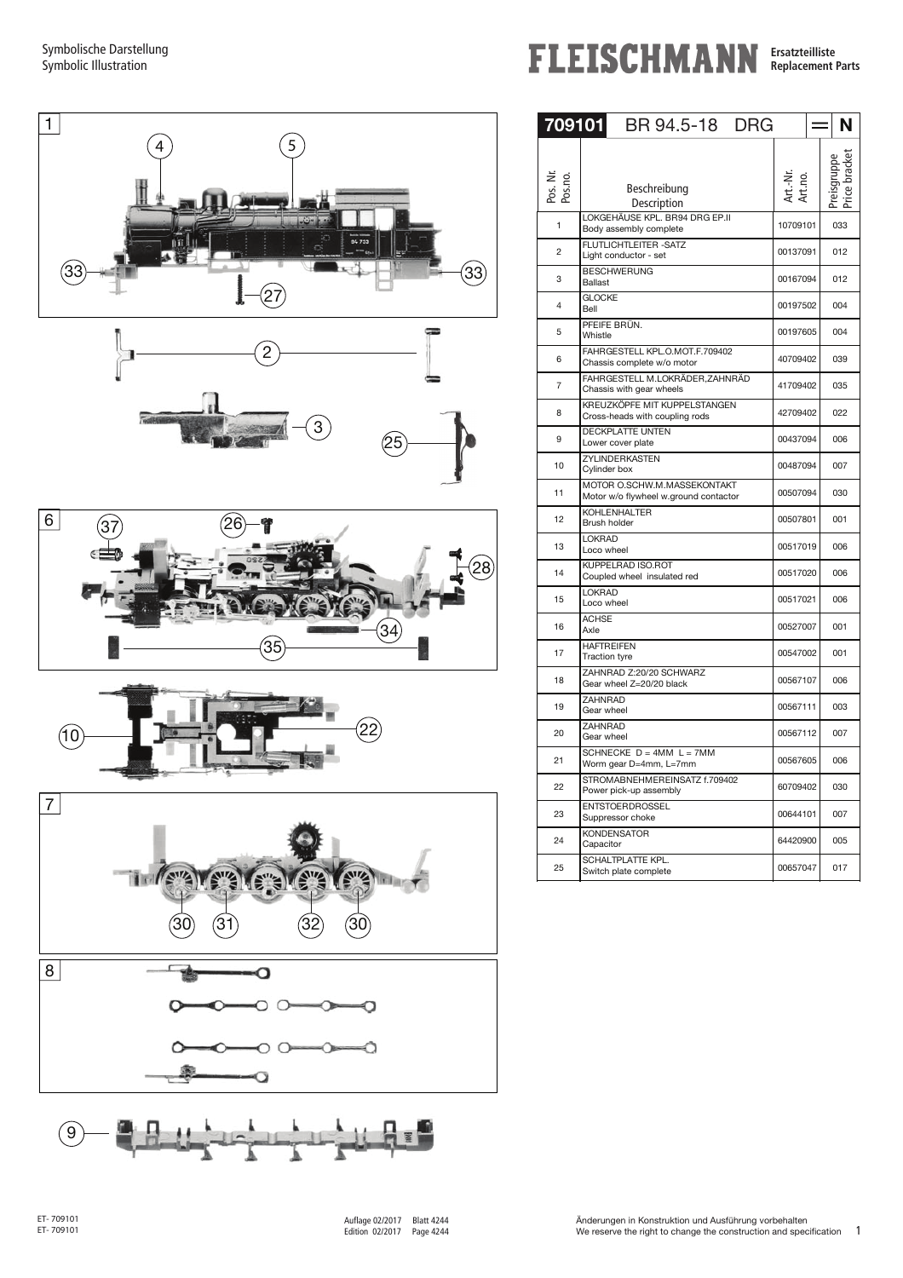Symbolische Darstellung Symbolic Illustration













**FLEISCHMANN Ersatzteilliste Replacement Parts** 

| 709101              | BR 94.5-18<br><b>DRG</b>                                             |                     | N   |
|---------------------|----------------------------------------------------------------------|---------------------|-----|
| Pos. Nr.<br>Pos.no. | Beschreibung<br>Description                                          | Art.-Nr.<br>Art.no. |     |
| 1                   | LOKGEHÄUSE KPL. BR94 DRG EP.II<br>Body assembly complete             | 10709101            | 033 |
| $\overline{2}$      | FLUTLICHTLEITER-SATZ<br>Light conductor - set                        | 00137091            | 012 |
| 3                   | <b>BESCHWERUNG</b><br><b>Ballast</b>                                 | 00167094            | 012 |
| 4                   | <b>GLOCKE</b><br>Bell                                                | 00197502            | 004 |
| 5                   | PFEIFE BRÜN.<br>Whistle                                              | 00197605            | 004 |
| 6                   | FAHRGESTELL KPL.O.MOT.F.709402<br>Chassis complete w/o motor         | 40709402            | 039 |
| 7                   | FAHRGESTELL M.LOKRÄDER, ZAHNRÄD<br>Chassis with gear wheels          | 41709402            | 035 |
| 8                   | KREUZKÖPFE MIT KUPPELSTANGEN<br>Cross-heads with coupling rods       | 42709402            | 022 |
| 9                   | <b>DECKPLATTE UNTEN</b><br>Lower cover plate                         | 00437094            | 006 |
| 10                  | ZYLINDERKASTEN<br>Cylinder box                                       | 00487094            | 007 |
| 11                  | MOTOR O.SCHW.M.MASSEKONTAKT<br>Motor w/o flywheel w.ground contactor | 00507094            | 030 |
| 12                  | <b>KOHLENHALTER</b><br>Brush holder                                  | 00507801            | 001 |
| 13                  | <b>LOKRAD</b><br>Loco wheel                                          | 00517019            | 006 |
| 14                  | KUPPELRAD ISO.ROT<br>Coupled wheel insulated red                     | 00517020            | 006 |
| 15                  | <b>LOKRAD</b><br>Loco wheel                                          | 00517021            | 006 |
| 16                  | <b>ACHSE</b><br>Axle                                                 | 00527007            | 001 |
| 17                  | <b>HAFTREIFEN</b><br><b>Traction tyre</b>                            | 00547002            | 001 |
| 18                  | ZAHNRAD Z:20/20 SCHWARZ<br>Gear wheel Z=20/20 black                  | 00567107            | 006 |
| 19                  | <b>ZAHNRAD</b><br>Gear wheel                                         | 00567111            | 003 |
| 20                  | ZAHNRAD<br>Gear wheel                                                | 00567112            | 007 |
| 21                  | SCHNECKE $D = 4MM$ $L = 7MM$<br>Worm gear D=4mm, L=7mm               | 00567605            | 006 |
| 22                  | STROMABNEHMEREINSATZ f.709402<br>Power pick-up assembly              | 60709402            | 030 |
| 23                  | <b>ENTSTOERDROSSEL</b><br>Suppressor choke                           | 00644101            | 007 |
| 24                  | <b>KONDENSATOR</b><br>Capacitor                                      | 64420900            | 005 |
| 25                  | SCHALTPLATTE KPL.<br>Switch plate complete                           | 00657047            | 017 |

j